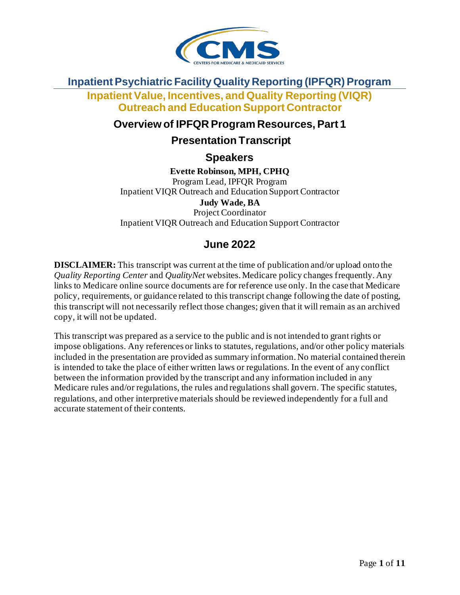

#### **Inpatient Psychiatric Facility Quality Reporting (IPFQR) Program**

**Inpatient Value, Incentives, and Quality Reporting (VIQR) Outreach and Education Support Contractor**

#### **Overview of IPFQR Program Resources, Part 1**

#### **Presentation Transcript**

**Speakers** 

**Evette Robinson, MPH, CPHQ** Program Lead, IPFQR Program Inpatient VIQR Outreach and Education Support Contractor **Judy Wade, BA** Project Coordinator Inpatient VIQR Outreach and Education Support Contractor

# **June 2022**

**DISCLAIMER:** This transcript was current at the time of publication and/or upload onto the *Quality Reporting Center* and *QualityNet* websites. Medicare policy changes frequently. Any links to Medicare online source documents are for reference use only. In the case that Medicare policy, requirements, or guidance related to this transcript change following the date of posting, this transcript will not necessarily reflect those changes; given that it will remain as an archived copy, it will not be updated.

This transcript was prepared as a service to the public and is not intended to grant rights or impose obligations. Any references or links to statutes, regulations, and/or other policy materials included in the presentation are provided as summary information. No material contained therein is intended to take the place of either written laws or regulations. In the event of any conflict between the information provided by the transcript and any information included in any Medicare rules and/or regulations, the rules and regulations shall govern. The specific statutes, regulations, and other interpretive materials should be reviewed independently for a full and accurate statement of their contents.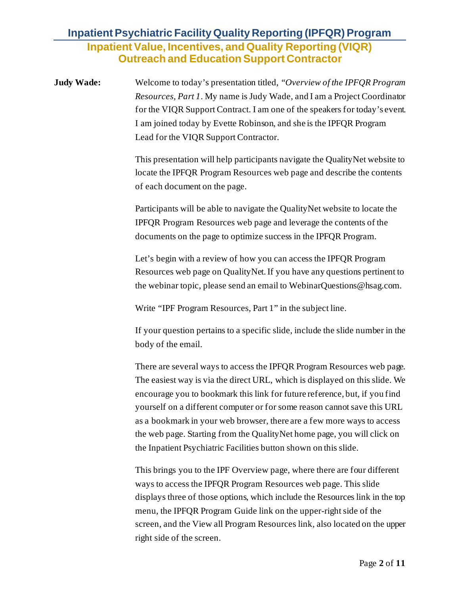**Judy Wade:** Welcome to today's presentation titled, *"Overview of the IPFQR Program Resources, Part 1*. My name is Judy Wade, and I am a Project Coordinator for the VIQR Support Contract. I am one of the speakers for today's event. I am joined today by Evette Robinson, and she is the IPFQR Program Lead for the VIQR Support Contractor.

> This presentation will help participants navigate the QualityNet website to locate the IPFQR Program Resources web page and describe the contents of each document on the page.

Participants will be able to navigate the QualityNet website to locate the IPFQR Program Resources web page and leverage the contents of the documents on the page to optimize success in the IPFQR Program.

Let's begin with a review of how you can access the IPFQR Program Resources web page on QualityNet.If you have any questions pertinent to the webinar topic, please send an email to WebinarQuestions@hsag.com.

Write "IPF Program Resources, Part 1" in the subject line.

If your question pertains to a specific slide, include the slide number in the body of the email.

There are several ways to access the IPFQR Program Resources web page. The easiest way is via the direct URL, which is displayed on this slide. We encourage you to bookmark this link for future reference, but, if you find yourself on a different computer or for some reason cannot save this URL as a bookmark in your web browser, there are a few more ways to access the web page. Starting from the QualityNet home page, you will click on the Inpatient Psychiatric Facilities button shown on this slide.

This brings you to the IPF Overview page, where there are four different ways to access the IPFQR Program Resources web page. This slide displays three of those options, which include the Resources link in the top menu, the IPFQR Program Guide link on the upper-right side of the screen, and the View all Program Resources link, also located on the upper right side of the screen.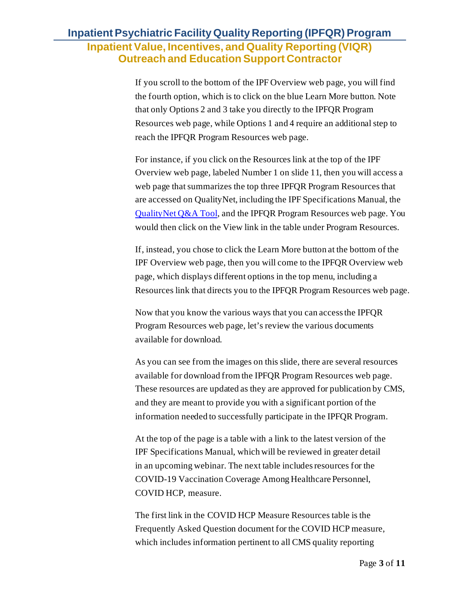If you scroll to the bottom of the IPF Overview web page, you will find the fourth option, which is to click on the blue Learn More button. Note that only Options 2 and 3 take you directly to the IPFQR Program Resources web page, while Options 1 and 4 require an additional step to reach the IPFQR Program Resources web page.

For instance, if you click on the Resources link at the top of the IPF Overview web page, labeled Number 1 on slide 11, then you will access a web page that summarizes the top three IPFQR Program Resources that are accessed on QualityNet, including the IPF Specifications Manual, the [QualityNet Q&A Tool,](https://cmsqualitysupport.servicenowservices.com/qnet_qa) and the IPFQR Program Resources web page. You would then click on the View link in the table under Program Resources.

If, instead, you chose to click the Learn More button at the bottom of the IPF Overview web page, then you will come to the IPFQR Overview web page, which displays different options in the top menu, including a Resources link that directs you to the IPFQR Program Resources web page.

Now that you know the various ways that you can access the IPFQR Program Resources web page, let's review the various documents available for download.

As you can see from the images on this slide, there are several resources available for download from the IPFQR Program Resources web page. These resources are updated as they are approved for publication by CMS, and they are meant to provide you with a significant portion of the information needed to successfully participate in the IPFQR Program.

At the top of the page is a table with a link to the latest version of the IPF Specifications Manual, which will be reviewed in greater detail in an upcoming webinar. The next table includes resources for the COVID-19 Vaccination Coverage Among Healthcare Personnel, COVID HCP, measure.

The first link in the COVID HCP Measure Resources table is the Frequently Asked Question document for the COVID HCP measure, which includes information pertinent to all CMS quality reporting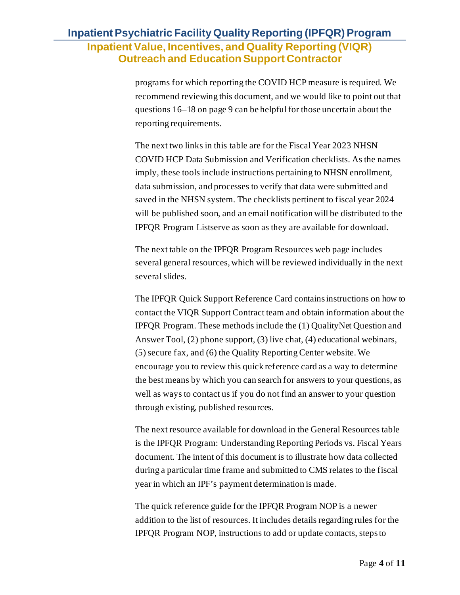programs for which reporting the COVID HCP measure is required. We recommend reviewing this document, and we would like to point out that questions 16–18 on page 9 can be helpful for those uncertain about the reporting requirements.

The next two links in this table are for the Fiscal Year 2023 NHSN COVID HCP Data Submission and Verification checklists. As the names imply, these tools include instructions pertaining to NHSN enrollment, data submission, and processes to verify that data were submitted and saved in the NHSN system. The checklists pertinent to fiscal year 2024 will be published soon, and an email notification will be distributed to the IPFQR Program Listserve as soon as they are available for download.

The next table on the IPFQR Program Resources web page includes several general resources, which will be reviewed individually in the next several slides.

The IPFQR Quick Support Reference Card contains instructions on how to contact the VIQR Support Contract team and obtain information about the IPFQR Program. These methods include the (1) QualityNet Question and Answer Tool, (2) phone support, (3) live chat, (4) educational webinars, (5) secure fax, and (6) the Quality Reporting Center website. We encourage you to review this quick reference card as a way to determine the best means by which you can search for answers to your questions, as well as ways to contact us if you do not find an answer to your question through existing, published resources.

The next resource available for download in the General Resources table is the IPFQR Program: Understanding Reporting Periods vs. Fiscal Years document. The intent of this document is to illustrate how data collected during a particular time frame and submitted to CMS relates to the fiscal year in which an IPF's payment determination is made.

The quick reference guide for the IPFQR Program NOP is a newer addition to the list of resources. It includes details regarding rules for the IPFQR Program NOP, instructions to add or update contacts, steps to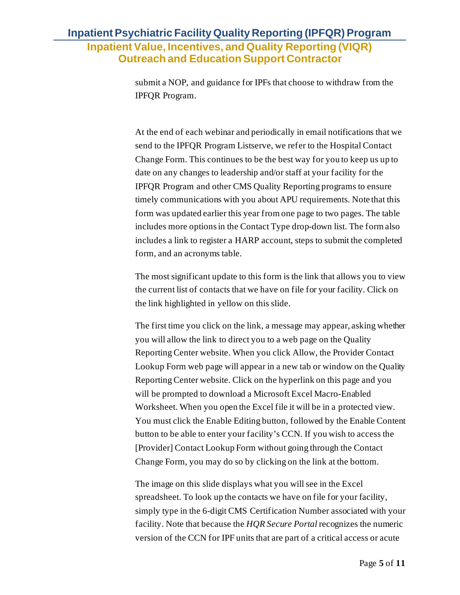submit a NOP, and guidance for IPFs that choose to withdraw from the IPFQR Program.

At the end of each webinar and periodically in email notifications that we send to the IPFQR Program Listserve, we refer to the Hospital Contact Change Form. This continues to be the best way for you to keep us up to date on any changes to leadership and/or staff at your facility for the IPFQR Program and other CMS Quality Reporting programs to ensure timely communications with you about APU requirements. Note that this form was updated earlier this year from one page to two pages. The table includes more options in the Contact Type drop-down list. The form also includes a link to register a HARP account, steps to submit the completed form, and an acronyms table.

The most significant update to this form is the link that allows you to view the current list of contacts that we have on file for your facility. Click on the link highlighted in yellow on this slide.

The first time you click on the link, a message may appear, asking whether you will allow the link to direct you to a web page on the Quality Reporting Center website. When you click Allow, the Provider Contact Lookup Form web page will appear in a new tab or window on the Quality Reporting Center website. Click on the hyperlink on this page and you will be prompted to download a Microsoft Excel Macro-Enabled Worksheet. When you open the Excel file it will be in a protected view. You must click the Enable Editing button, followed by the Enable Content button to be able to enter your facility's CCN. If you wish to access the [Provider] Contact Lookup Form without going through the Contact Change Form, you may do so by clicking on the link at the bottom.

The image on this slide displays what you will see in the Excel spreadsheet. To look up the contacts we have on file for your facility, simply type in the 6-digit CMS Certification Number associated with your facility. Note that because the *HQR Secure Portal* recognizes the numeric version of the CCN for IPF units that are part of a critical access or acute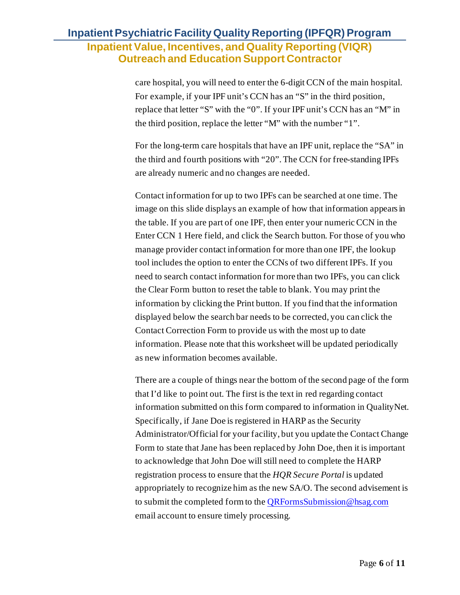care hospital, you will need to enter the 6-digit CCN of the main hospital. For example, if your IPF unit's CCN has an "S" in the third position, replace that letter "S" with the "0". If your IPF unit's CCN has an "M" in the third position, replace the letter "M" with the number "1".

For the long-term care hospitals that have an IPF unit, replace the "SA" in the third and fourth positions with "20". The CCN for free-standing IPFs are already numeric and no changes are needed.

Contact information for up to two IPFs can be searched at one time. The image on this slide displays an example of how that information appears in the table. If you are part of one IPF, then enter your numeric CCN in the Enter CCN 1 Here field, and click the Search button. For those of you who manage provider contact information for more than one IPF, the lookup tool includes the option to enter the CCNs of two different IPFs. If you need to search contact information for more than two IPFs, you can click the Clear Form button to reset the table to blank. You may print the information by clicking the Print button. If you find that the information displayed below the search bar needs to be corrected, you can click the Contact Correction Form to provide us with the most up to date information. Please note that this worksheet will be updated periodically as new information becomes available.

There are a couple of things near the bottom of the second page of the form that I'd like to point out. The first is the text in red regarding contact information submitted on this form compared to information in QualityNet. Specifically, if Jane Doe is registered in HARP as the Security Administrator/Official for your facility, but you update the Contact Change Form to state that Jane has been replaced by John Doe, then it is important to acknowledge that John Doe will still need to complete the HARP registration process to ensure that the *HQR Secure Portal* is updated appropriately to recognize him as the new SA/O. The second advisement is to submit the completed form to the [QRFormsSubmission@hsag.com](mailto:QRFormsSubmission@hsag.com) email account to ensure timely processing.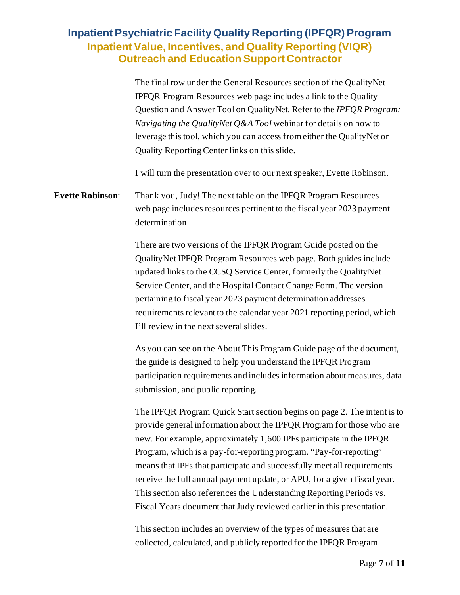The final row under the General Resources section of the QualityNet IPFQR Program Resources web page includes a link to the Quality Question and Answer Tool on QualityNet. Refer to the *IPFQR Program: Navigating the QualityNet Q&A Tool* webinar for details on how to leverage this tool, which you can access from either the QualityNet or Quality Reporting Center links on this slide.

I will turn the presentation over to our next speaker, Evette Robinson.

### **Evette Robinson**: Thank you, Judy! The next table on the IPFQR Program Resources web page includes resources pertinent to the fiscal year 2023 payment determination.

There are two versions of the IPFQR Program Guide posted on the QualityNet IPFQR Program Resources web page. Both guides include updated links to the CCSQ Service Center, formerly the QualityNet Service Center, and the Hospital Contact Change Form. The version pertaining to fiscal year 2023 payment determination addresses requirements relevant to the calendar year 2021 reporting period, which I'll review in the next several slides.

As you can see on the About This Program Guide page of the document, the guide is designed to help you understand the IPFQR Program participation requirements and includes information about measures, data submission, and public reporting.

The IPFQR Program Quick Start section begins on page 2. The intent is to provide general information about the IPFQR Program for those who are new. For example, approximately 1,600 IPFs participate in the IPFQR Program, which is a pay-for-reporting program. "Pay-for-reporting" means that IPFs that participate and successfully meet all requirements receive the full annual payment update, or APU, for a given fiscal year. This section also references the Understanding Reporting Periods vs. Fiscal Years document that Judy reviewed earlier in this presentation.

This section includes an overview of the types of measures that are collected, calculated, and publicly reported for the IPFQR Program.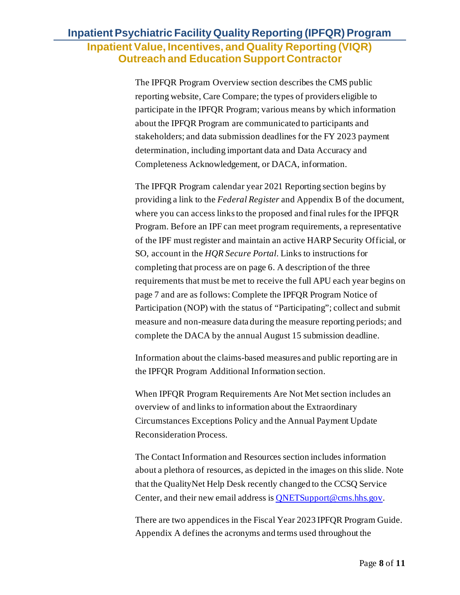The IPFQR Program Overview section describes the CMS public reporting website, Care Compare; the types of providers eligible to participate in the IPFQR Program; various means by which information about the IPFQR Program are communicated to participants and stakeholders; and data submission deadlines for the FY 2023 payment determination, including important data and Data Accuracy and Completeness Acknowledgement, or DACA, information.

The IPFQR Program calendar year 2021 Reporting section begins by providing a link to the *Federal Register* and Appendix B of the document, where you can access links to the proposed and final rules for the IPFQR Program. Before an IPF can meet program requirements, a representative of the IPF must register and maintain an active HARP Security Official, or SO, account in the *HQR Secure Portal*. Links to instructions for completing that process are on page 6. A description of the three requirements that must be met to receive the full APU each year begins on page 7 and are as follows: Complete the IPFQR Program Notice of Participation (NOP) with the status of "Participating"; collect and submit measure and non-measure data during the measure reporting periods; and complete the DACA by the annual August 15 submission deadline.

Information about the claims-based measures and public reporting are in the IPFQR Program Additional Information section.

When IPFQR Program Requirements Are Not Met section includes an overview of and links to information about the Extraordinary Circumstances Exceptions Policy and the Annual Payment Update Reconsideration Process.

The Contact Information and Resources section includes information about a plethora of resources, as depicted in the images on this slide. Note that the QualityNet Help Desk recently changed to the CCSQ Service Center, and their new email address is [QNETSupport@cms.hhs.gov](mailto:QNETSupport@cms.hhs.gov).

There are two appendices in the Fiscal Year 2023 IPFQR Program Guide. Appendix A defines the acronyms and terms used throughout the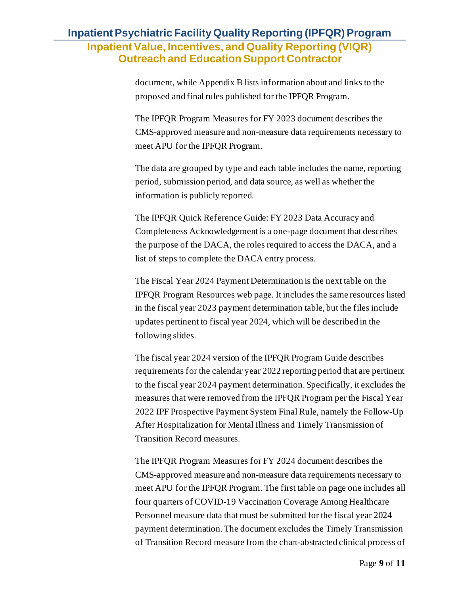document, while Appendix B lists information about and links to the proposed and final rules published for the IPFQR Program.

The IPFQR Program Measures for FY 2023 document describes the CMS-approved measure and non-measure data requirements necessary to meet APU for the IPFQR Program.

The data are grouped by type and each table includes the name, reporting period, submission period, and data source, as well as whether the information is publicly reported.

The IPFQR Quick Reference Guide: FY 2023 Data Accuracy and Completeness Acknowledgement is a one-page document that describes the purpose of the DACA, the roles required to access the DACA, and a list of steps to complete the DACA entry process.

The Fiscal Year 2024 Payment Determination is the next table on the IPFQR Program Resources web page. It includes the same resources listed in the fiscal year 2023 payment determination table, but the files include updates pertinent to fiscal year 2024, which will be described in the following slides.

The fiscal year 2024 version of the IPFQR Program Guide describes requirements for the calendar year 2022 reporting period that are pertinent to the fiscal year 2024 payment determination. Specifically, it excludes the measures that were removed from the IPFQR Program per the Fiscal Year 2022 IPF Prospective Payment System Final Rule, namely the Follow-Up After Hospitalization for Mental Illness and Timely Transmission of Transition Record measures.

The IPFQR Program Measures for FY 2024 document describes the CMS-approved measure and non-measure data requirements necessary to meet APU for the IPFQR Program. The first table on page one includes all four quarters of COVID-19 Vaccination Coverage Among Healthcare Personnel measure data that must be submitted for the fiscal year 2024 payment determination. The document excludes the Timely Transmission of Transition Record measure from the chart-abstracted clinical process of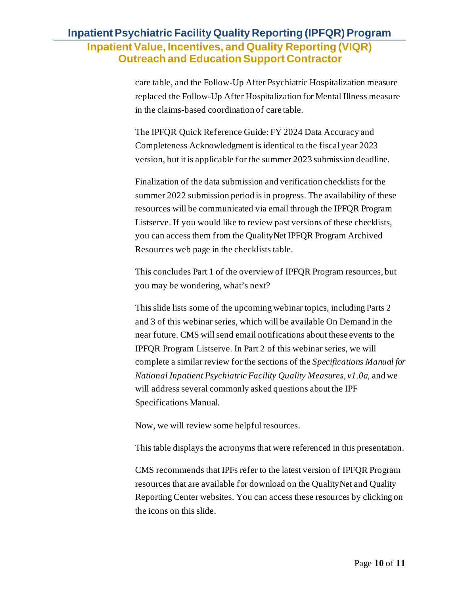care table, and the Follow-Up After Psychiatric Hospitalization measure replaced the Follow-Up After Hospitalization for Mental Illness measure in the claims-based coordination of care table.

The IPFQR Quick Reference Guide: FY 2024 Data Accuracy and Completeness Acknowledgment is identical to the fiscal year 2023 version, but it is applicable for the summer 2023 submission deadline.

Finalization of the data submission and verification checklists for the summer 2022 submission period is in progress. The availability of these resources will be communicated via email through the IPFQR Program Listserve. If you would like to review past versions of these checklists, you can access them from the QualityNet IPFQR Program Archived Resources web page in the checklists table.

This concludes Part 1 of the overview of IPFQR Program resources, but you may be wondering, what's next?

This slide lists some of the upcoming webinar topics, including Parts 2 and 3 of this webinar series, which will be available On Demand in the near future. CMS will send email notifications about these events to the IPFQR Program Listserve. In Part 2 of this webinar series, we will complete a similar review for the sections of the *Specifications Manual for National Inpatient Psychiatric Facility Quality Measures, v1.0a,* and we will address several commonly asked questions about the IPF Specifications Manual.

Now, we will review some helpful resources.

This table displays the acronyms that were referenced in this presentation.

CMS recommends that IPFs refer to the latest version of IPFQR Program resources that are available for download on the QualityNet and Quality Reporting Center websites. You can access these resources by clicking on the icons on this slide.